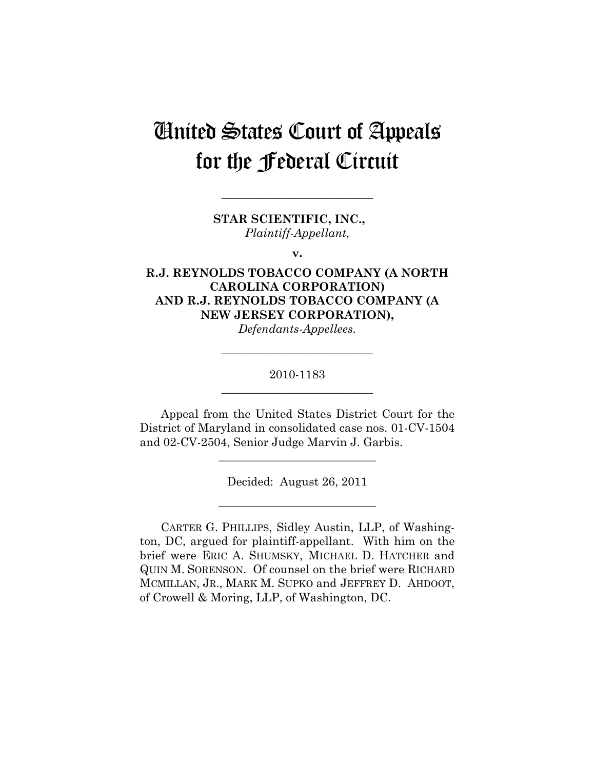# United States Court of Appeals for the Federal Circuit

**\_\_\_\_\_\_\_\_\_\_\_\_\_\_\_\_\_\_\_\_\_\_\_\_\_\_** 

**STAR SCIENTIFIC, INC.,**  *Plaintiff-Appellant,* 

**v.** 

# **R.J. REYNOLDS TOBACCO COMPANY (A NORTH CAROLINA CORPORATION) AND R.J. REYNOLDS TOBACCO COMPANY (A NEW JERSEY CORPORATION),**

*Defendants-Appellees.* 

**\_\_\_\_\_\_\_\_\_\_\_\_\_\_\_\_\_\_\_\_\_\_\_\_\_\_** 

# 2010-1183 **\_\_\_\_\_\_\_\_\_\_\_\_\_\_\_\_\_\_\_\_\_\_\_\_\_\_**

Appeal from the United States District Court for the District of Maryland in consolidated case nos. 01-CV-1504 and 02-CV-2504, Senior Judge Marvin J. Garbis.

**\_\_\_\_\_\_\_\_\_\_\_\_\_\_\_\_\_\_\_\_\_\_\_\_\_\_\_** 

Decided: August 26, 2011

**\_\_\_\_\_\_\_\_\_\_\_\_\_\_\_\_\_\_\_\_\_\_\_\_\_\_\_** 

CARTER G. PHILLIPS, Sidley Austin, LLP, of Washington, DC, argued for plaintiff-appellant. With him on the brief were ERIC A. SHUMSKY, MICHAEL D. HATCHER and QUIN M. SORENSON. Of counsel on the brief were RICHARD MCMILLAN, JR., MARK M. SUPKO and JEFFREY D. AHDOOT, of Crowell & Moring, LLP, of Washington, DC.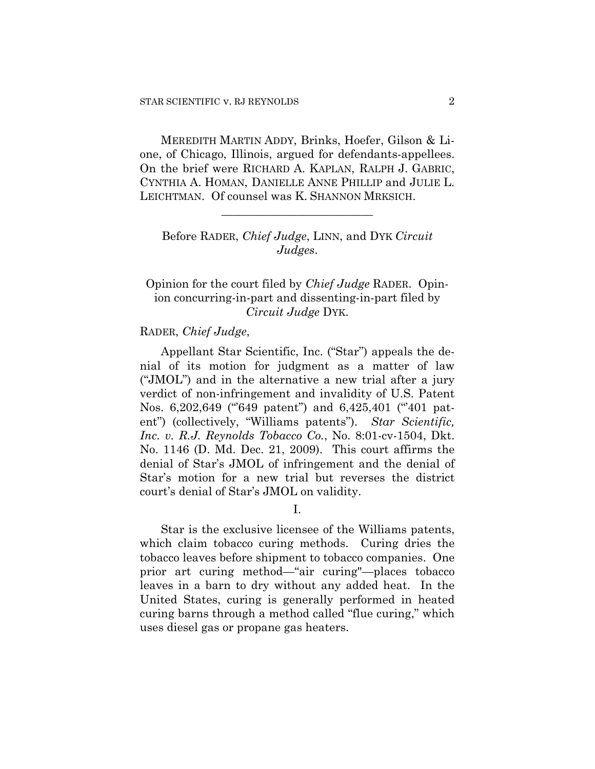MEREDITH MARTIN ADDY, Brinks, Hoefer, Gilson & Lione, of Chicago, Illinois, argued for defendants-appellees. On the brief were RICHARD A. KAPLAN, RALPH J. GABRIC, CYNTHIA A. HOMAN, DANIELLE ANNE PHILLIP and JULIE L. LEICHTMAN. Of counsel was K. SHANNON MRKSICH.

# Before RADER, *Chief Judge*, LINN, and DYK *Circuit Judges*.

**\_\_\_\_\_\_\_\_\_\_\_\_\_\_\_\_\_\_\_\_\_\_\_\_\_\_** 

# Opinion for the court filed by *Chief Judge* RADER. Opinion concurring-in-part and dissenting-in-part filed by *Circuit Judge* DYK.

## RADER, *Chief Judge*,

Appellant Star Scientific, Inc. ("Star") appeals the denial of its motion for judgment as a matter of law ("JMOL") and in the alternative a new trial after a jury verdict of non-infringement and invalidity of U.S. Patent Nos. 6,202,649 ("649 patent") and 6,425,401 ("401 patent") (collectively, "Williams patents"). *Star Scientific, Inc. v. R.J. Reynolds Tobacco Co.*, No. 8:01-cv-1504, Dkt. No. 1146 (D. Md. Dec. 21, 2009). This court affirms the denial of Star's JMOL of infringement and the denial of Star's motion for a new trial but reverses the district court's denial of Star's JMOL on validity.

I.

Star is the exclusive licensee of the Williams patents, which claim tobacco curing methods. Curing dries the tobacco leaves before shipment to tobacco companies. One prior art curing method—"air curing"—places tobacco leaves in a barn to dry without any added heat. In the United States, curing is generally performed in heated curing barns through a method called "flue curing," which uses diesel gas or propane gas heaters.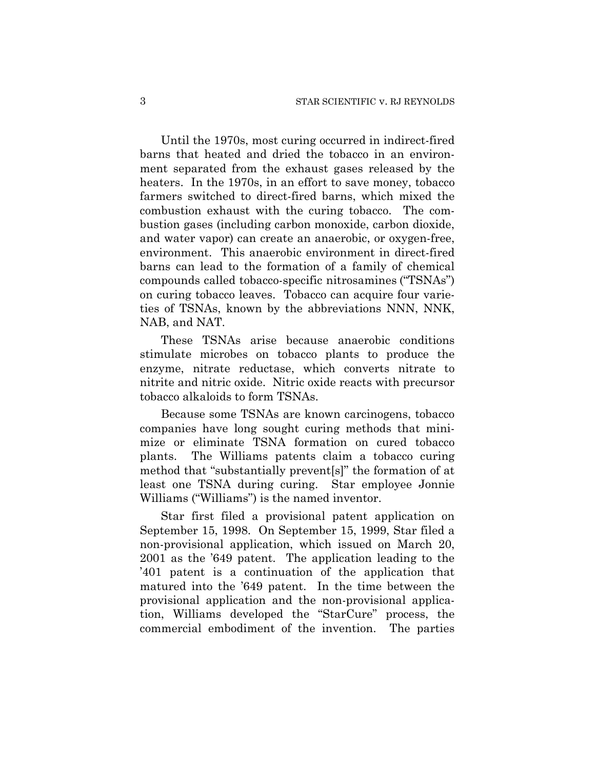Until the 1970s, most curing occurred in indirect-fired barns that heated and dried the tobacco in an environment separated from the exhaust gases released by the heaters. In the 1970s, in an effort to save money, tobacco farmers switched to direct-fired barns, which mixed the combustion exhaust with the curing tobacco. The combustion gases (including carbon monoxide, carbon dioxide, and water vapor) can create an anaerobic, or oxygen-free, environment. This anaerobic environment in direct-fired barns can lead to the formation of a family of chemical compounds called tobacco-specific nitrosamines ("TSNAs") on curing tobacco leaves. Tobacco can acquire four varieties of TSNAs, known by the abbreviations NNN, NNK, NAB, and NAT.

These TSNAs arise because anaerobic conditions stimulate microbes on tobacco plants to produce the enzyme, nitrate reductase, which converts nitrate to nitrite and nitric oxide. Nitric oxide reacts with precursor tobacco alkaloids to form TSNAs.

Because some TSNAs are known carcinogens, tobacco companies have long sought curing methods that minimize or eliminate TSNA formation on cured tobacco plants. The Williams patents claim a tobacco curing method that "substantially prevent[s]" the formation of at least one TSNA during curing. Star employee Jonnie Williams ("Williams") is the named inventor.

Star first filed a provisional patent application on September 15, 1998. On September 15, 1999, Star filed a non-provisional application, which issued on March 20, 2001 as the '649 patent. The application leading to the '401 patent is a continuation of the application that matured into the '649 patent. In the time between the provisional application and the non-provisional application, Williams developed the "StarCure" process, the commercial embodiment of the invention. The parties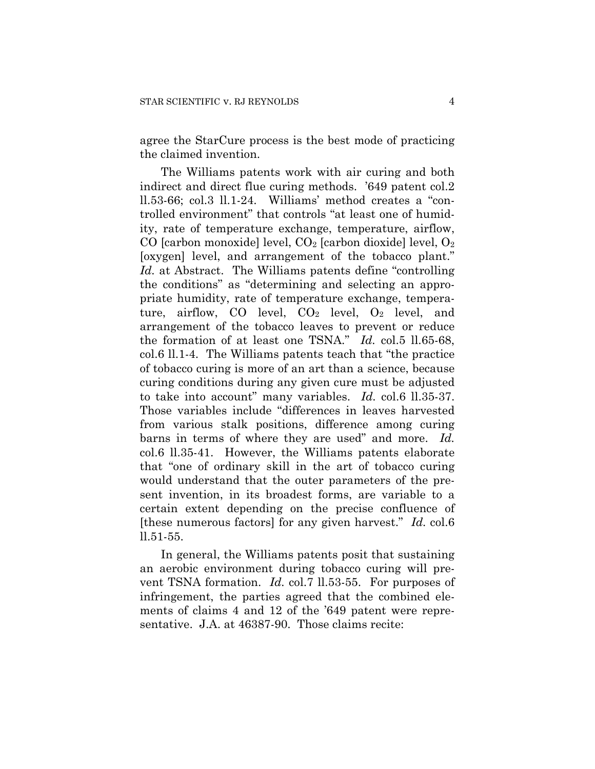agree the StarCure process is the best mode of practicing the claimed invention.

The Williams patents work with air curing and both indirect and direct flue curing methods. '649 patent col.2 ll.53-66; col.3 ll.1-24. Williams' method creates a "controlled environment" that controls "at least one of humidity, rate of temperature exchange, temperature, airflow, CO [carbon monoxide] level,  $CO<sub>2</sub>$  [carbon dioxide] level,  $O<sub>2</sub>$ [oxygen] level, and arrangement of the tobacco plant." *Id.* at Abstract. The Williams patents define "controlling the conditions" as "determining and selecting an appropriate humidity, rate of temperature exchange, temperature, airflow, CO level,  $CO<sub>2</sub>$  level,  $O<sub>2</sub>$  level, and arrangement of the tobacco leaves to prevent or reduce the formation of at least one TSNA." *Id.* col.5 ll.65-68, col.6 ll.1-4. The Williams patents teach that "the practice of tobacco curing is more of an art than a science, because curing conditions during any given cure must be adjusted to take into account" many variables. *Id.* col.6 ll.35-37. Those variables include "differences in leaves harvested from various stalk positions, difference among curing barns in terms of where they are used" and more. *Id.* col.6 ll.35-41. However, the Williams patents elaborate that "one of ordinary skill in the art of tobacco curing would understand that the outer parameters of the present invention, in its broadest forms, are variable to a certain extent depending on the precise confluence of [these numerous factors] for any given harvest." *Id.* col.6 ll.51-55.

In general, the Williams patents posit that sustaining an aerobic environment during tobacco curing will prevent TSNA formation. *Id.* col.7 ll.53-55. For purposes of infringement, the parties agreed that the combined elements of claims 4 and 12 of the '649 patent were representative. J.A. at 46387-90. Those claims recite: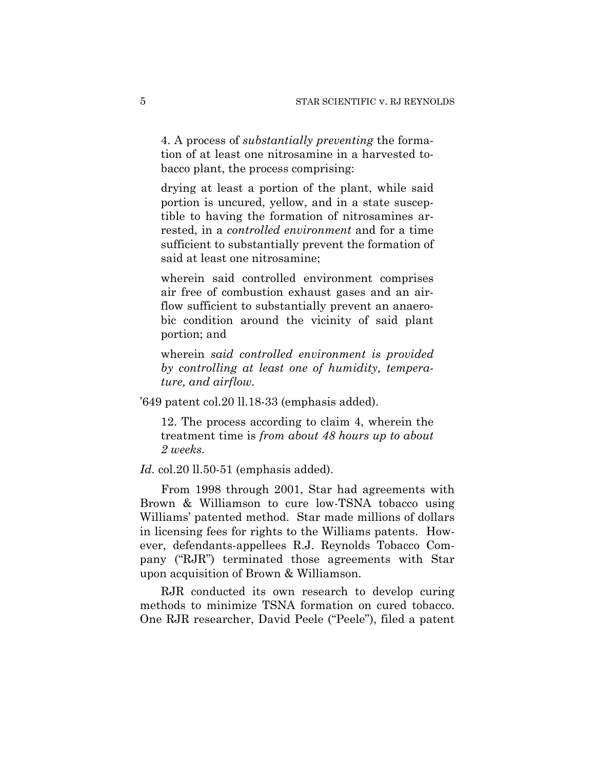4. A process of *substantially preventing* the formation of at least one nitrosamine in a harvested tobacco plant, the process comprising:

drying at least a portion of the plant, while said portion is uncured, yellow, and in a state susceptible to having the formation of nitrosamines arrested, in a *controlled environment* and for a time sufficient to substantially prevent the formation of said at least one nitrosamine;

wherein said controlled environment comprises air free of combustion exhaust gases and an airflow sufficient to substantially prevent an anaerobic condition around the vicinity of said plant portion; and

wherein *said controlled environment is provided by controlling at least one of humidity, temperature, and airflow.*

'649 patent col.20 ll.18-33 (emphasis added).

12. The process according to claim 4, wherein the treatment time is *from about 48 hours up to about 2 weeks.*

*Id.* col.20 ll.50-51 (emphasis added).

From 1998 through 2001, Star had agreements with Brown & Williamson to cure low-TSNA tobacco using Williams' patented method. Star made millions of dollars in licensing fees for rights to the Williams patents. However, defendants-appellees R.J. Reynolds Tobacco Company ("RJR") terminated those agreements with Star upon acquisition of Brown & Williamson.

RJR conducted its own research to develop curing methods to minimize TSNA formation on cured tobacco. One RJR researcher, David Peele ("Peele"), filed a patent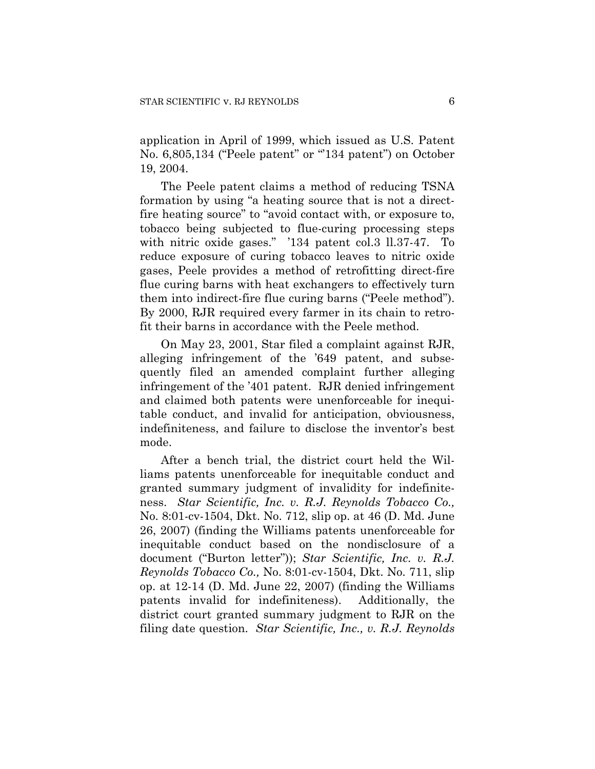application in April of 1999, which issued as U.S. Patent No. 6,805,134 ("Peele patent" or "134 patent") on October 19, 2004.

The Peele patent claims a method of reducing TSNA formation by using "a heating source that is not a directfire heating source" to "avoid contact with, or exposure to, tobacco being subjected to flue-curing processing steps with nitric oxide gases." '134 patent col.3 ll.37-47. To reduce exposure of curing tobacco leaves to nitric oxide gases, Peele provides a method of retrofitting direct-fire flue curing barns with heat exchangers to effectively turn them into indirect-fire flue curing barns ("Peele method"). By 2000, RJR required every farmer in its chain to retrofit their barns in accordance with the Peele method.

On May 23, 2001, Star filed a complaint against RJR, alleging infringement of the '649 patent, and subsequently filed an amended complaint further alleging infringement of the '401 patent. RJR denied infringement and claimed both patents were unenforceable for inequitable conduct, and invalid for anticipation, obviousness, indefiniteness, and failure to disclose the inventor's best mode.

After a bench trial, the district court held the Williams patents unenforceable for inequitable conduct and granted summary judgment of invalidity for indefiniteness. *Star Scientific, Inc. v. R.J. Reynolds Tobacco Co.,*  No. 8:01-cv-1504, Dkt. No. 712, slip op. at 46 (D. Md. June 26, 2007) (finding the Williams patents unenforceable for inequitable conduct based on the nondisclosure of a document ("Burton letter")); *Star Scientific, Inc. v. R.J. Reynolds Tobacco Co.,* No. 8:01-cv-1504, Dkt. No. 711, slip op. at 12-14 (D. Md. June 22, 2007) (finding the Williams patents invalid for indefiniteness). Additionally, the district court granted summary judgment to RJR on the filing date question. *Star Scientific, Inc., v. R.J. Reynolds*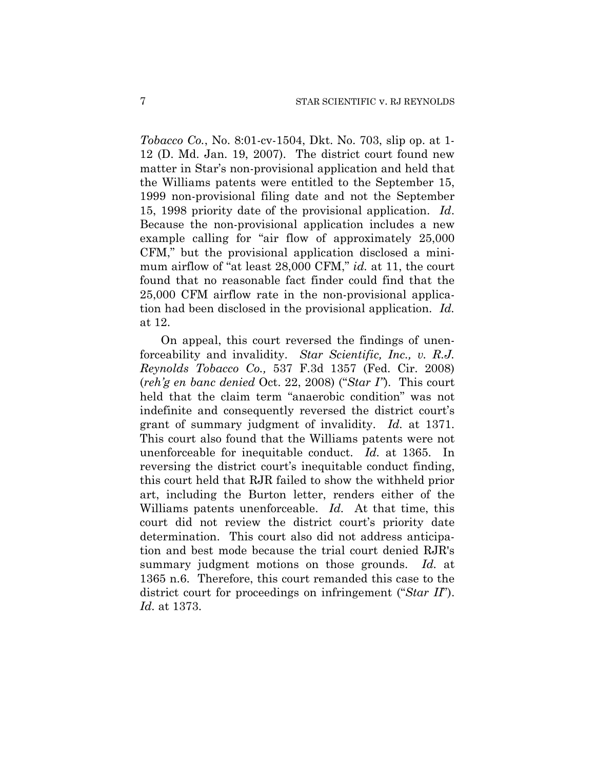*Tobacco Co.*, No. 8:01-cv-1504, Dkt. No. 703, slip op. at 1- 12 (D. Md. Jan. 19, 2007). The district court found new matter in Star's non-provisional application and held that the Williams patents were entitled to the September 15, 1999 non-provisional filing date and not the September 15, 1998 priority date of the provisional application. *Id*. Because the non-provisional application includes a new example calling for "air flow of approximately 25,000 CFM," but the provisional application disclosed a minimum airflow of "at least 28,000 CFM," *id.* at 11, the court found that no reasonable fact finder could find that the 25,000 CFM airflow rate in the non-provisional application had been disclosed in the provisional application. *Id.* at 12.

On appeal, this court reversed the findings of unenforceability and invalidity. *Star Scientific, Inc., v. R.J. Reynolds Tobacco Co.,* 537 F.3d 1357 (Fed. Cir. 2008) (*reh'g en banc denied* Oct. 22, 2008) ("*Star I"*). This court held that the claim term "anaerobic condition" was not indefinite and consequently reversed the district court's grant of summary judgment of invalidity. *Id.* at 1371. This court also found that the Williams patents were not unenforceable for inequitable conduct. *Id.* at 1365. In reversing the district court's inequitable conduct finding, this court held that RJR failed to show the withheld prior art, including the Burton letter, renders either of the Williams patents unenforceable. *Id.* At that time, this court did not review the district court's priority date determination. This court also did not address anticipation and best mode because the trial court denied RJR's summary judgment motions on those grounds. *Id.* at 1365 n.6. Therefore, this court remanded this case to the district court for proceedings on infringement ("*Star II*"). *Id.* at 1373.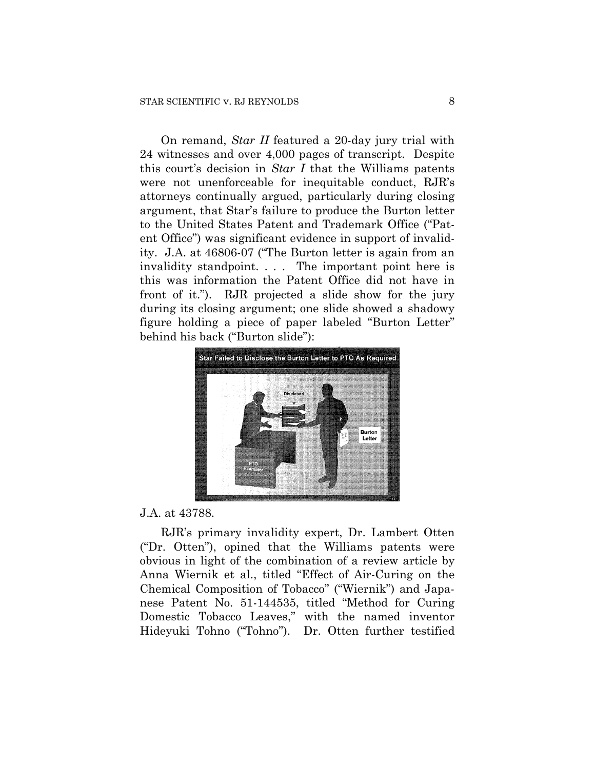On remand, *Star II* featured a 20-day jury trial with 24 witnesses and over 4,000 pages of transcript. Despite this court's decision in *Star I* that the Williams patents were not unenforceable for inequitable conduct, RJR's attorneys continually argued, particularly during closing argument, that Star's failure to produce the Burton letter to the United States Patent and Trademark Office ("Patent Office") was significant evidence in support of invalidity. J.A. at 46806-07 ("The Burton letter is again from an invalidity standpoint. . . . The important point here is this was information the Patent Office did not have in front of it."). RJR projected a slide show for the jury during its closing argument; one slide showed a shadowy figure holding a piece of paper labeled "Burton Letter" behind his back ("Burton slide"):



#### J.A. at 43788.

RJR's primary invalidity expert, Dr. Lambert Otten ("Dr. Otten"), opined that the Williams patents were obvious in light of the combination of a review article by Anna Wiernik et al., titled "Effect of Air-Curing on the Chemical Composition of Tobacco" ("Wiernik") and Japanese Patent No. 51-144535, titled "Method for Curing Domestic Tobacco Leaves," with the named inventor Hideyuki Tohno ("Tohno"). Dr. Otten further testified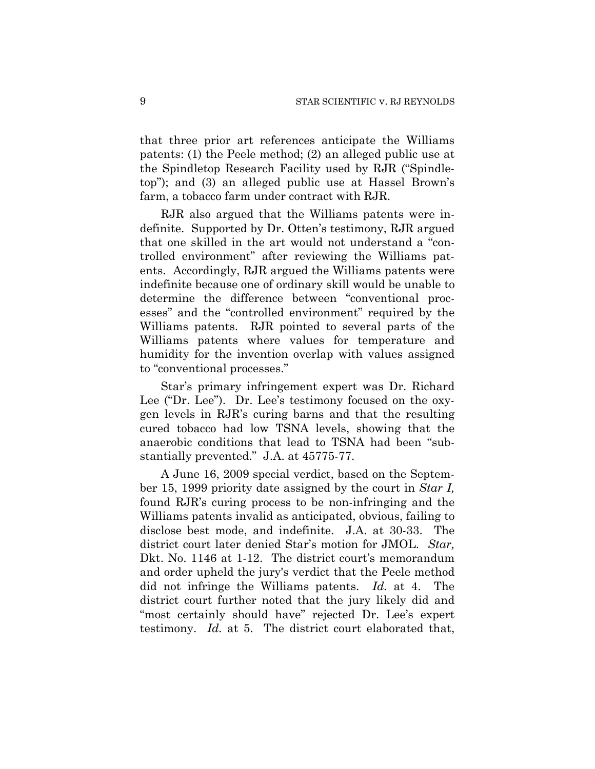that three prior art references anticipate the Williams patents: (1) the Peele method; (2) an alleged public use at the Spindletop Research Facility used by RJR ("Spindletop"); and (3) an alleged public use at Hassel Brown's farm, a tobacco farm under contract with RJR.

RJR also argued that the Williams patents were indefinite. Supported by Dr. Otten's testimony, RJR argued that one skilled in the art would not understand a "controlled environment" after reviewing the Williams patents. Accordingly, RJR argued the Williams patents were indefinite because one of ordinary skill would be unable to determine the difference between "conventional processes" and the "controlled environment" required by the Williams patents. RJR pointed to several parts of the Williams patents where values for temperature and humidity for the invention overlap with values assigned to "conventional processes."

Star's primary infringement expert was Dr. Richard Lee ("Dr. Lee"). Dr. Lee's testimony focused on the oxygen levels in RJR's curing barns and that the resulting cured tobacco had low TSNA levels, showing that the anaerobic conditions that lead to TSNA had been "substantially prevented." J.A. at 45775-77.

A June 16, 2009 special verdict, based on the September 15, 1999 priority date assigned by the court in *Star I,*  found RJR's curing process to be non-infringing and the Williams patents invalid as anticipated, obvious, failing to disclose best mode, and indefinite. J.A. at 30-33. The district court later denied Star's motion for JMOL. *Star,*  Dkt. No. 1146 at 1-12. The district court's memorandum and order upheld the jury's verdict that the Peele method did not infringe the Williams patents. *Id.* at 4. The district court further noted that the jury likely did and "most certainly should have" rejected Dr. Lee's expert testimony. *Id.* at 5. The district court elaborated that,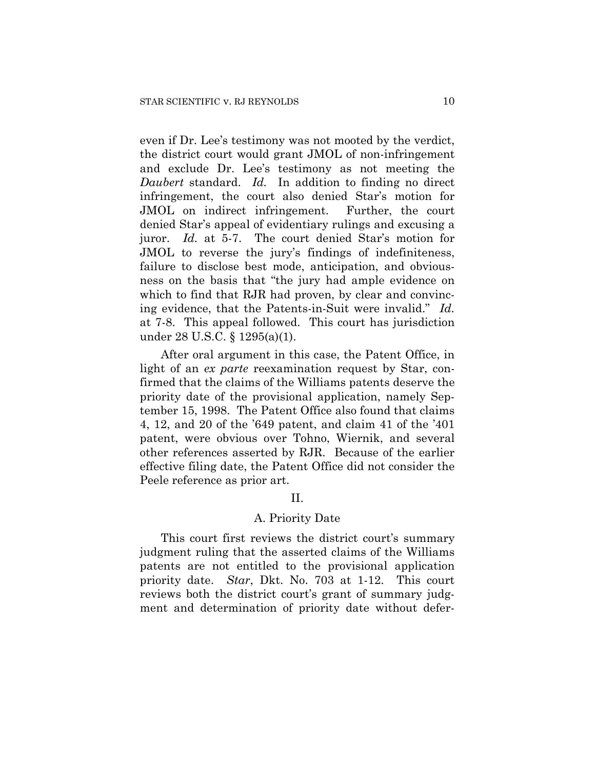even if Dr. Lee's testimony was not mooted by the verdict, the district court would grant JMOL of non-infringement and exclude Dr. Lee's testimony as not meeting the *Daubert* standard. *Id.* In addition to finding no direct infringement, the court also denied Star's motion for JMOL on indirect infringement. Further, the court denied Star's appeal of evidentiary rulings and excusing a juror. *Id.* at 5-7. The court denied Star's motion for JMOL to reverse the jury's findings of indefiniteness, failure to disclose best mode, anticipation, and obviousness on the basis that "the jury had ample evidence on which to find that RJR had proven, by clear and convincing evidence, that the Patents-in-Suit were invalid." *Id.*  at 7-8. This appeal followed. This court has jurisdiction under 28 U.S.C. § 1295(a)(1).

After oral argument in this case, the Patent Office, in light of an *ex parte* reexamination request by Star, confirmed that the claims of the Williams patents deserve the priority date of the provisional application, namely September 15, 1998. The Patent Office also found that claims 4, 12, and 20 of the '649 patent, and claim 41 of the '401 patent, were obvious over Tohno, Wiernik, and several other references asserted by RJR. Because of the earlier effective filing date, the Patent Office did not consider the Peele reference as prior art.

## II.

#### A. Priority Date

This court first reviews the district court's summary judgment ruling that the asserted claims of the Williams patents are not entitled to the provisional application priority date. *Star*, Dkt. No. 703 at 1-12. This court reviews both the district court's grant of summary judgment and determination of priority date without defer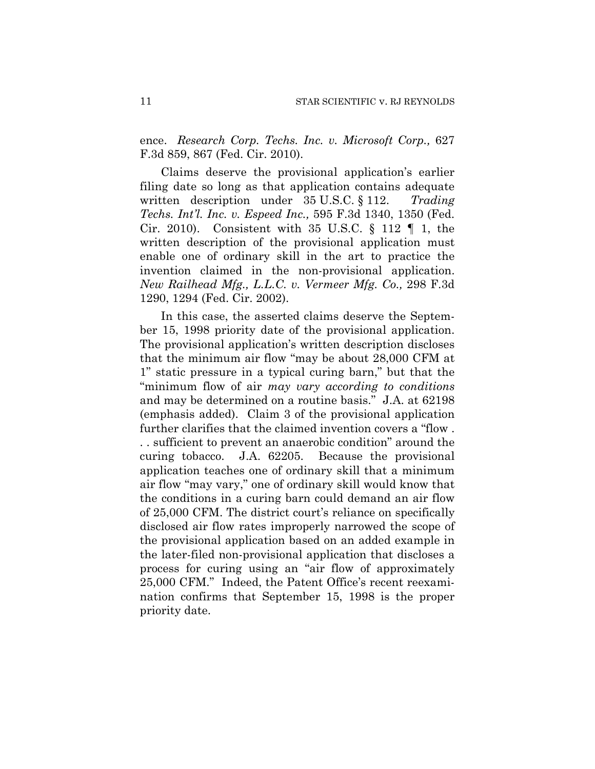ence. *Research Corp. Techs. Inc. v. Microsoft Corp.,* 627 F.3d 859, 867 (Fed. Cir. 2010).

Claims deserve the provisional application's earlier filing date so long as that application contains adequate written description under 35 U.S.C. § 112. *Trading Techs. Int'l. Inc. v. Espeed Inc.,* 595 F.3d 1340, 1350 (Fed. Cir. 2010). Consistent with 35 U.S.C.  $\S$  112  $\P$  1, the written description of the provisional application must enable one of ordinary skill in the art to practice the invention claimed in the non-provisional application. *New Railhead Mfg., L.L.C. v. Vermeer Mfg. Co.,* 298 F.3d 1290, 1294 (Fed. Cir. 2002).

In this case, the asserted claims deserve the September 15, 1998 priority date of the provisional application. The provisional application's written description discloses that the minimum air flow "may be about 28,000 CFM at 1" static pressure in a typical curing barn," but that the "minimum flow of air *may vary according to conditions* and may be determined on a routine basis." J.A. at 62198 (emphasis added). Claim 3 of the provisional application further clarifies that the claimed invention covers a "flow . . . sufficient to prevent an anaerobic condition" around the curing tobacco. J.A. 62205. Because the provisional application teaches one of ordinary skill that a minimum air flow "may vary," one of ordinary skill would know that the conditions in a curing barn could demand an air flow of 25,000 CFM. The district court's reliance on specifically disclosed air flow rates improperly narrowed the scope of the provisional application based on an added example in the later-filed non-provisional application that discloses a process for curing using an "air flow of approximately 25,000 CFM." Indeed, the Patent Office's recent reexamination confirms that September 15, 1998 is the proper priority date.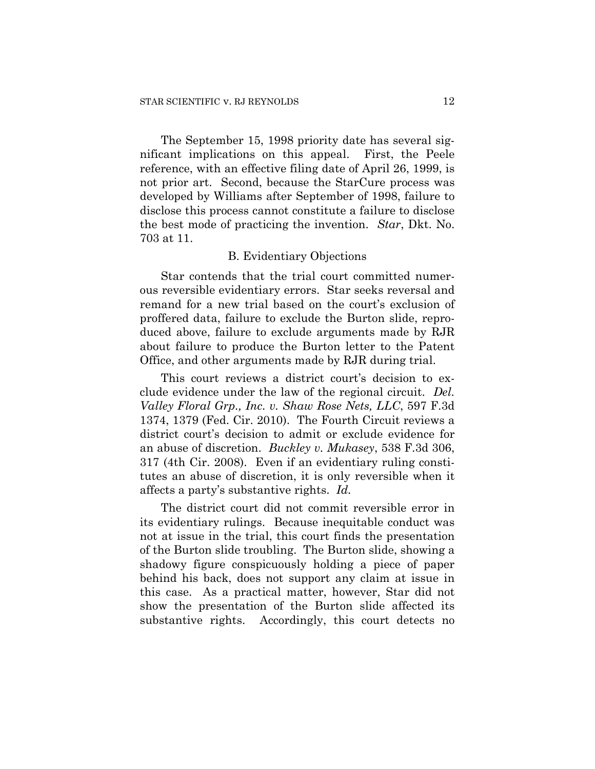The September 15, 1998 priority date has several significant implications on this appeal. First, the Peele reference, with an effective filing date of April 26, 1999, is not prior art. Second, because the StarCure process was developed by Williams after September of 1998, failure to disclose this process cannot constitute a failure to disclose the best mode of practicing the invention. *Star*, Dkt. No. 703 at 11.

## B. Evidentiary Objections

Star contends that the trial court committed numerous reversible evidentiary errors. Star seeks reversal and remand for a new trial based on the court's exclusion of proffered data, failure to exclude the Burton slide, reproduced above, failure to exclude arguments made by RJR about failure to produce the Burton letter to the Patent Office, and other arguments made by RJR during trial.

This court reviews a district court's decision to exclude evidence under the law of the regional circuit. *Del. Valley Floral Grp., Inc. v. Shaw Rose Nets, LLC*, 597 F.3d 1374, 1379 (Fed. Cir. 2010). The Fourth Circuit reviews a district court's decision to admit or exclude evidence for an abuse of discretion. *Buckley v. Mukasey*, 538 F.3d 306, 317 (4th Cir. 2008). Even if an evidentiary ruling constitutes an abuse of discretion, it is only reversible when it affects a party's substantive rights. *Id.*

The district court did not commit reversible error in its evidentiary rulings. Because inequitable conduct was not at issue in the trial, this court finds the presentation of the Burton slide troubling. The Burton slide, showing a shadowy figure conspicuously holding a piece of paper behind his back, does not support any claim at issue in this case. As a practical matter, however, Star did not show the presentation of the Burton slide affected its substantive rights. Accordingly, this court detects no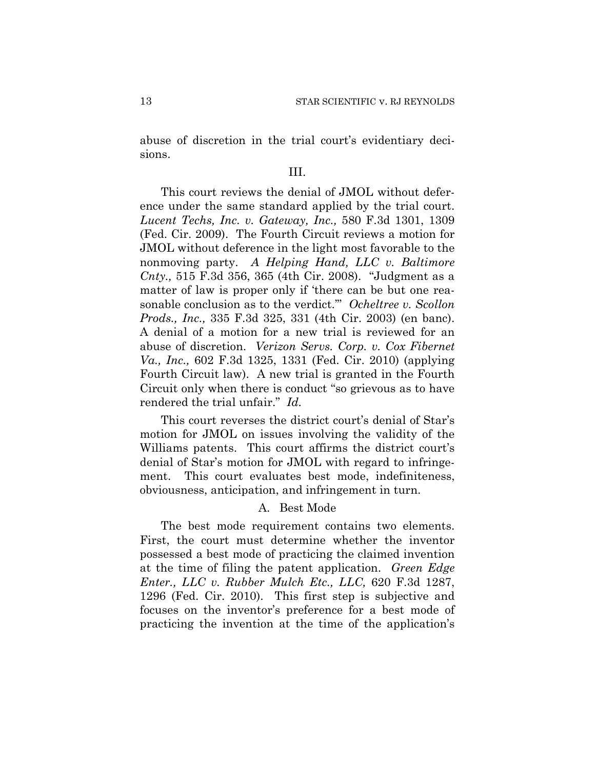abuse of discretion in the trial court's evidentiary decisions.

## III.

This court reviews the denial of JMOL without deference under the same standard applied by the trial court. *Lucent Techs, Inc. v. Gateway, Inc.,* 580 F.3d 1301, 1309 (Fed. Cir. 2009). The Fourth Circuit reviews a motion for JMOL without deference in the light most favorable to the nonmoving party. *A Helping Hand, LLC v. Baltimore Cnty.,* 515 F.3d 356, 365 (4th Cir. 2008). "Judgment as a matter of law is proper only if 'there can be but one reasonable conclusion as to the verdict.'" *Ocheltree v. Scollon Prods., Inc.,* 335 F.3d 325, 331 (4th Cir. 2003) (en banc). A denial of a motion for a new trial is reviewed for an abuse of discretion. *Verizon Servs. Corp. v. Cox Fibernet Va., Inc.,* 602 F.3d 1325, 1331 (Fed. Cir. 2010) (applying Fourth Circuit law). A new trial is granted in the Fourth Circuit only when there is conduct "so grievous as to have rendered the trial unfair." *Id.*

This court reverses the district court's denial of Star's motion for JMOL on issues involving the validity of the Williams patents. This court affirms the district court's denial of Star's motion for JMOL with regard to infringement. This court evaluates best mode, indefiniteness, obviousness, anticipation, and infringement in turn.

#### A. Best Mode

The best mode requirement contains two elements. First, the court must determine whether the inventor possessed a best mode of practicing the claimed invention at the time of filing the patent application. *Green Edge Enter., LLC v. Rubber Mulch Etc., LLC,* 620 F.3d 1287, 1296 (Fed. Cir. 2010). This first step is subjective and focuses on the inventor's preference for a best mode of practicing the invention at the time of the application's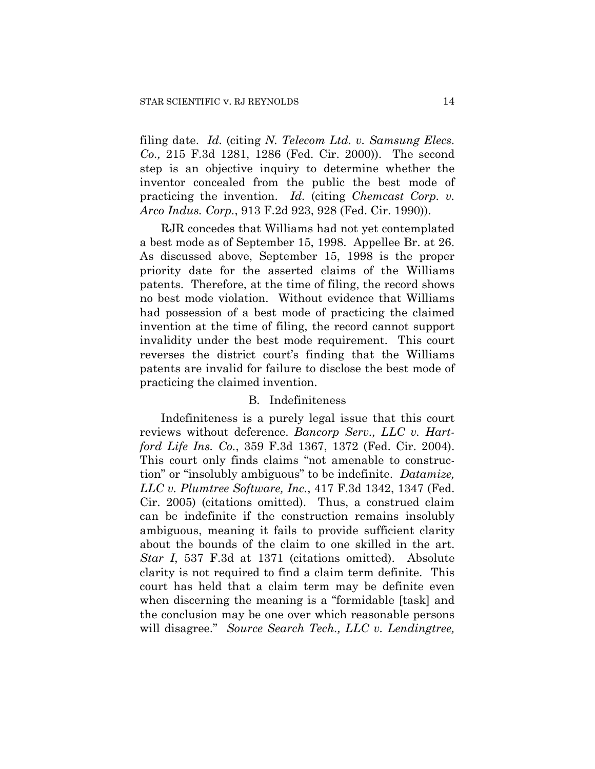filing date. *Id.* (citing *N. Telecom Ltd. v. Samsung Elecs. Co.,* 215 F.3d 1281, 1286 (Fed. Cir. 2000)). The second step is an objective inquiry to determine whether the inventor concealed from the public the best mode of practicing the invention. *Id.* (citing *Chemcast Corp. v. Arco Indus. Corp.*, 913 F.2d 923, 928 (Fed. Cir. 1990)).

RJR concedes that Williams had not yet contemplated a best mode as of September 15, 1998. Appellee Br. at 26. As discussed above, September 15, 1998 is the proper priority date for the asserted claims of the Williams patents. Therefore, at the time of filing, the record shows no best mode violation. Without evidence that Williams had possession of a best mode of practicing the claimed invention at the time of filing, the record cannot support invalidity under the best mode requirement. This court reverses the district court's finding that the Williams patents are invalid for failure to disclose the best mode of practicing the claimed invention.

#### B. Indefiniteness

Indefiniteness is a purely legal issue that this court reviews without deference. *Bancorp Serv., LLC v. Hartford Life Ins. Co.*, 359 F.3d 1367, 1372 (Fed. Cir. 2004). This court only finds claims "not amenable to construction" or "insolubly ambiguous" to be indefinite. *Datamize, LLC v. Plumtree Software, Inc.*, 417 F.3d 1342, 1347 (Fed. Cir. 2005) (citations omitted). Thus, a construed claim can be indefinite if the construction remains insolubly ambiguous, meaning it fails to provide sufficient clarity about the bounds of the claim to one skilled in the art. *Star I*, 537 F.3d at 1371 (citations omitted). Absolute clarity is not required to find a claim term definite. This court has held that a claim term may be definite even when discerning the meaning is a "formidable [task] and the conclusion may be one over which reasonable persons will disagree." *Source Search Tech., LLC v. Lendingtree,*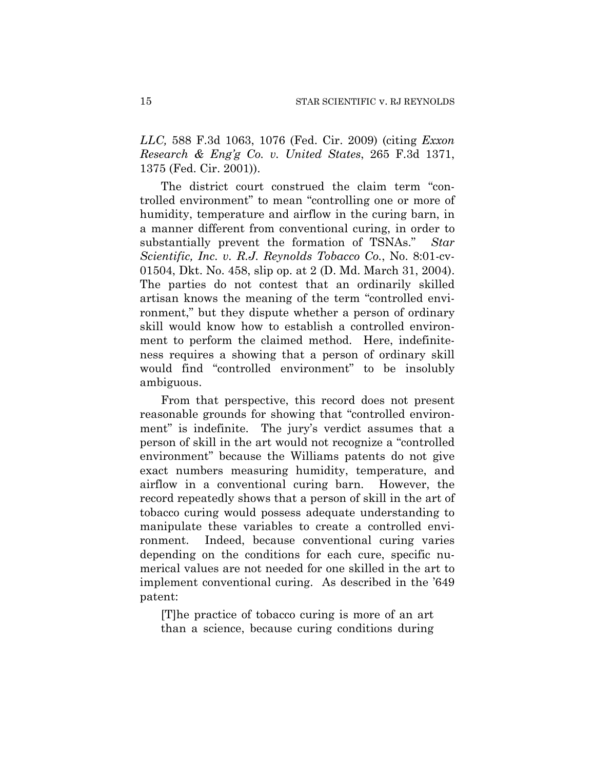*LLC,* 588 F.3d 1063, 1076 (Fed. Cir. 2009) (citing *Exxon Research & Eng'g Co. v. United States*, 265 F.3d 1371, 1375 (Fed. Cir. 2001)).

The district court construed the claim term "controlled environment" to mean "controlling one or more of humidity, temperature and airflow in the curing barn, in a manner different from conventional curing, in order to substantially prevent the formation of TSNAs." *Star Scientific, Inc. v. R.J. Reynolds Tobacco Co.*, No. 8:01-cv-01504, Dkt. No. 458, slip op. at 2 (D. Md. March 31, 2004). The parties do not contest that an ordinarily skilled artisan knows the meaning of the term "controlled environment," but they dispute whether a person of ordinary skill would know how to establish a controlled environment to perform the claimed method. Here, indefiniteness requires a showing that a person of ordinary skill would find "controlled environment" to be insolubly ambiguous.

From that perspective, this record does not present reasonable grounds for showing that "controlled environment" is indefinite. The jury's verdict assumes that a person of skill in the art would not recognize a "controlled environment" because the Williams patents do not give exact numbers measuring humidity, temperature, and airflow in a conventional curing barn. However, the record repeatedly shows that a person of skill in the art of tobacco curing would possess adequate understanding to manipulate these variables to create a controlled environment. Indeed, because conventional curing varies depending on the conditions for each cure, specific numerical values are not needed for one skilled in the art to implement conventional curing. As described in the '649 patent:

[T]he practice of tobacco curing is more of an art than a science, because curing conditions during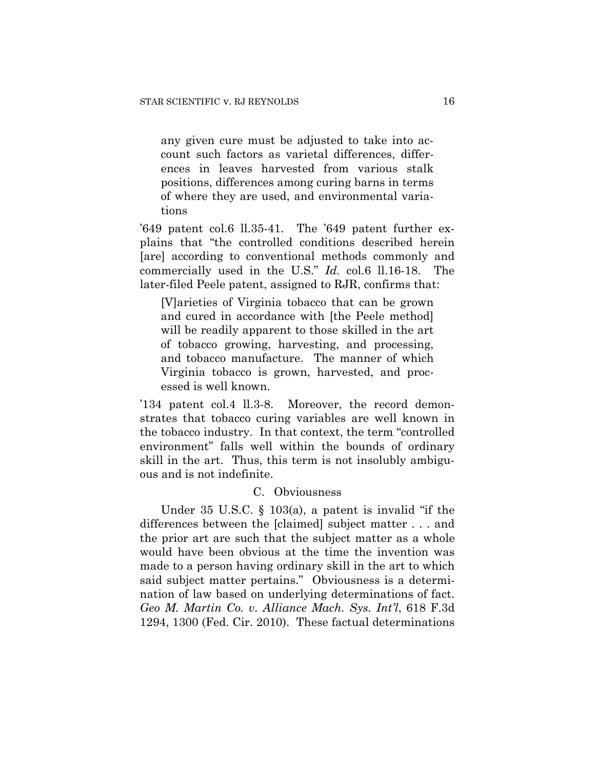any given cure must be adjusted to take into account such factors as varietal differences, differences in leaves harvested from various stalk positions, differences among curing barns in terms of where they are used, and environmental variations

'649 patent col.6 ll.35-41. The '649 patent further explains that "the controlled conditions described herein [are] according to conventional methods commonly and commercially used in the U.S." *Id.* col.6 ll.16-18. The later-filed Peele patent, assigned to RJR, confirms that:

[V]arieties of Virginia tobacco that can be grown and cured in accordance with [the Peele method] will be readily apparent to those skilled in the art of tobacco growing, harvesting, and processing, and tobacco manufacture. The manner of which Virginia tobacco is grown, harvested, and processed is well known.

'134 patent col.4 ll.3-8. Moreover, the record demonstrates that tobacco curing variables are well known in the tobacco industry. In that context, the term "controlled environment" falls well within the bounds of ordinary skill in the art. Thus, this term is not insolubly ambiguous and is not indefinite.

#### C. Obviousness

Under 35 U.S.C. § 103(a), a patent is invalid "if the differences between the [claimed] subject matter . . . and the prior art are such that the subject matter as a whole would have been obvious at the time the invention was made to a person having ordinary skill in the art to which said subject matter pertains." Obviousness is a determination of law based on underlying determinations of fact. *Geo M. Martin Co. v. Alliance Mach. Sys. Int'l*, 618 F.3d 1294, 1300 (Fed. Cir. 2010). These factual determinations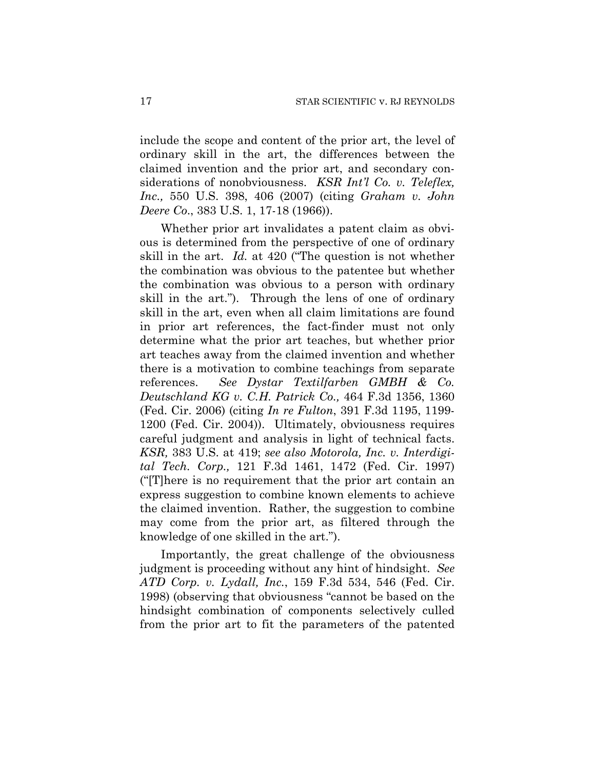include the scope and content of the prior art, the level of ordinary skill in the art, the differences between the claimed invention and the prior art, and secondary considerations of nonobviousness. *KSR Int'l Co. v. Teleflex, Inc.,* 550 U.S. 398, 406 (2007) (citing *Graham v. John Deere Co*., 383 U.S. 1, 17-18 (1966)).

Whether prior art invalidates a patent claim as obvious is determined from the perspective of one of ordinary skill in the art. *Id.* at 420 ("The question is not whether the combination was obvious to the patentee but whether the combination was obvious to a person with ordinary skill in the art."). Through the lens of one of ordinary skill in the art, even when all claim limitations are found in prior art references, the fact-finder must not only determine what the prior art teaches, but whether prior art teaches away from the claimed invention and whether there is a motivation to combine teachings from separate references. *See Dystar Textilfarben GMBH & Co. Deutschland KG v. C.H. Patrick Co.,* 464 F.3d 1356, 1360 (Fed. Cir. 2006) (citing *In re Fulton*, 391 F.3d 1195, 1199- 1200 (Fed. Cir. 2004)). Ultimately, obviousness requires careful judgment and analysis in light of technical facts. *KSR,* 383 U.S. at 419; *see also Motorola, Inc. v. Interdigital Tech. Corp.,* 121 F.3d 1461, 1472 (Fed. Cir. 1997) ("[T]here is no requirement that the prior art contain an express suggestion to combine known elements to achieve the claimed invention. Rather, the suggestion to combine may come from the prior art, as filtered through the knowledge of one skilled in the art.").

Importantly, the great challenge of the obviousness judgment is proceeding without any hint of hindsight. *See ATD Corp. v. Lydall, Inc.*, 159 F.3d 534, 546 (Fed. Cir. 1998) (observing that obviousness "cannot be based on the hindsight combination of components selectively culled from the prior art to fit the parameters of the patented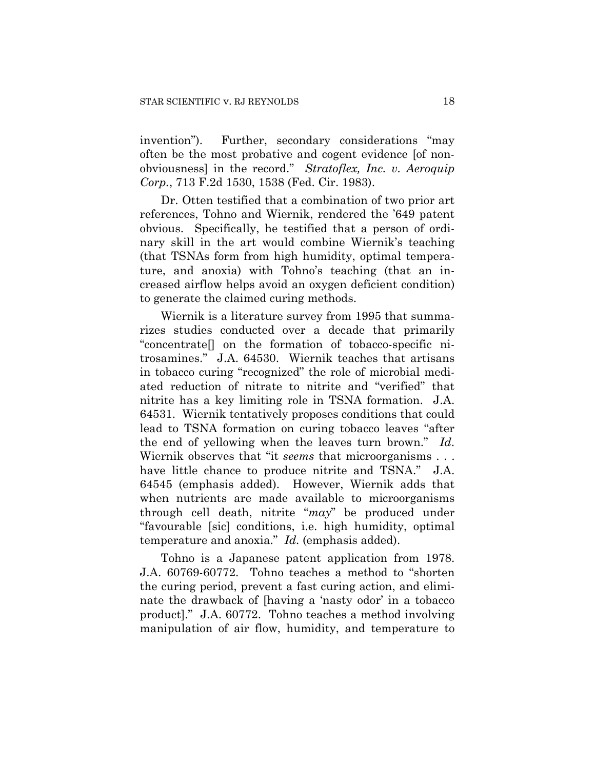invention"). Further, secondary considerations "may often be the most probative and cogent evidence [of nonobviousness] in the record." *Stratoflex, Inc. v. Aeroquip Corp.*, 713 F.2d 1530, 1538 (Fed. Cir. 1983).

Dr. Otten testified that a combination of two prior art references, Tohno and Wiernik, rendered the '649 patent obvious. Specifically, he testified that a person of ordinary skill in the art would combine Wiernik's teaching (that TSNAs form from high humidity, optimal temperature, and anoxia) with Tohno's teaching (that an increased airflow helps avoid an oxygen deficient condition) to generate the claimed curing methods.

Wiernik is a literature survey from 1995 that summarizes studies conducted over a decade that primarily "concentrate[] on the formation of tobacco-specific nitrosamines." J.A. 64530. Wiernik teaches that artisans in tobacco curing "recognized" the role of microbial mediated reduction of nitrate to nitrite and "verified" that nitrite has a key limiting role in TSNA formation. J.A. 64531. Wiernik tentatively proposes conditions that could lead to TSNA formation on curing tobacco leaves "after the end of yellowing when the leaves turn brown." *Id*. Wiernik observes that "it *seems* that microorganisms . . . have little chance to produce nitrite and TSNA." J.A. 64545 (emphasis added). However, Wiernik adds that when nutrients are made available to microorganisms through cell death, nitrite "*may*" be produced under "favourable [sic] conditions, i.e. high humidity, optimal temperature and anoxia." *Id.* (emphasis added).

Tohno is a Japanese patent application from 1978. J.A. 60769-60772. Tohno teaches a method to "shorten the curing period, prevent a fast curing action, and eliminate the drawback of [having a 'nasty odor' in a tobacco product]." J.A. 60772. Tohno teaches a method involving manipulation of air flow, humidity, and temperature to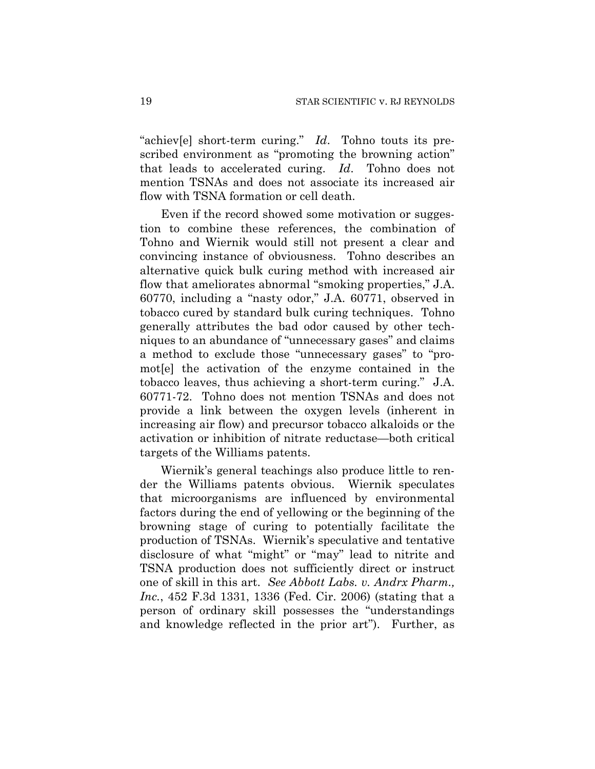"achiev[e] short-term curing." *Id*. Tohno touts its prescribed environment as "promoting the browning action" that leads to accelerated curing. *Id*. Tohno does not mention TSNAs and does not associate its increased air flow with TSNA formation or cell death.

Even if the record showed some motivation or suggestion to combine these references, the combination of Tohno and Wiernik would still not present a clear and convincing instance of obviousness. Tohno describes an alternative quick bulk curing method with increased air flow that ameliorates abnormal "smoking properties," J.A. 60770, including a "nasty odor," J.A. 60771, observed in tobacco cured by standard bulk curing techniques. Tohno generally attributes the bad odor caused by other techniques to an abundance of "unnecessary gases" and claims a method to exclude those "unnecessary gases" to "promot[e] the activation of the enzyme contained in the tobacco leaves, thus achieving a short-term curing." J.A. 60771-72. Tohno does not mention TSNAs and does not provide a link between the oxygen levels (inherent in increasing air flow) and precursor tobacco alkaloids or the activation or inhibition of nitrate reductase—both critical targets of the Williams patents.

Wiernik's general teachings also produce little to render the Williams patents obvious. Wiernik speculates that microorganisms are influenced by environmental factors during the end of yellowing or the beginning of the browning stage of curing to potentially facilitate the production of TSNAs. Wiernik's speculative and tentative disclosure of what "might" or "may" lead to nitrite and TSNA production does not sufficiently direct or instruct one of skill in this art. *See Abbott Labs. v. Andrx Pharm., Inc.*, 452 F.3d 1331, 1336 (Fed. Cir. 2006) (stating that a person of ordinary skill possesses the "understandings and knowledge reflected in the prior art").Further, as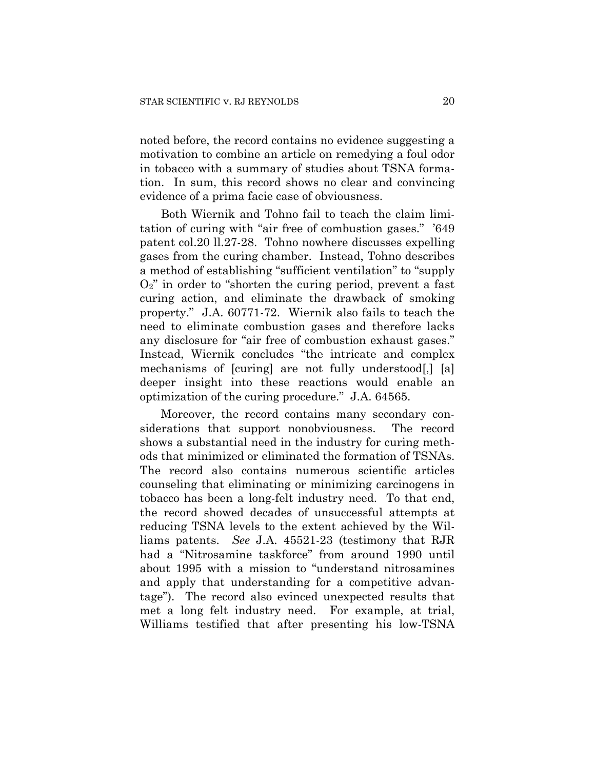noted before, the record contains no evidence suggesting a motivation to combine an article on remedying a foul odor in tobacco with a summary of studies about TSNA formation. In sum, this record shows no clear and convincing evidence of a prima facie case of obviousness.

Both Wiernik and Tohno fail to teach the claim limitation of curing with "air free of combustion gases." '649 patent col.20 ll.27-28. Tohno nowhere discusses expelling gases from the curing chamber. Instead, Tohno describes a method of establishing "sufficient ventilation" to "supply  $O_2$ " in order to "shorten the curing period, prevent a fast curing action, and eliminate the drawback of smoking property." J.A. 60771-72. Wiernik also fails to teach the need to eliminate combustion gases and therefore lacks any disclosure for "air free of combustion exhaust gases." Instead, Wiernik concludes "the intricate and complex mechanisms of [curing] are not fully understood[,] [a] deeper insight into these reactions would enable an optimization of the curing procedure." J.A. 64565.

Moreover, the record contains many secondary considerations that support nonobviousness. The record shows a substantial need in the industry for curing methods that minimized or eliminated the formation of TSNAs. The record also contains numerous scientific articles counseling that eliminating or minimizing carcinogens in tobacco has been a long-felt industry need. To that end, the record showed decades of unsuccessful attempts at reducing TSNA levels to the extent achieved by the Williams patents. *See* J.A. 45521-23 (testimony that RJR had a "Nitrosamine taskforce" from around 1990 until about 1995 with a mission to "understand nitrosamines and apply that understanding for a competitive advantage"). The record also evinced unexpected results that met a long felt industry need. For example, at trial, Williams testified that after presenting his low-TSNA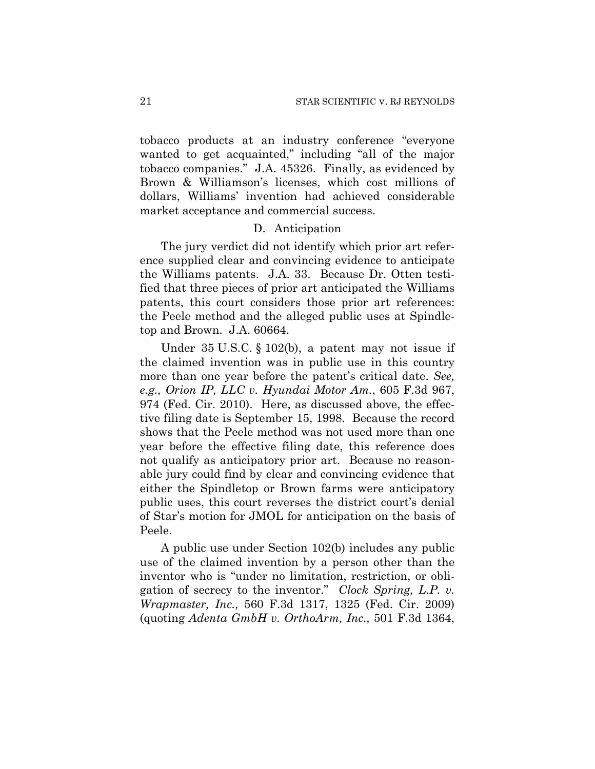tobacco products at an industry conference "everyone wanted to get acquainted," including "all of the major tobacco companies." J.A. 45326. Finally, as evidenced by Brown & Williamson's licenses, which cost millions of dollars, Williams' invention had achieved considerable market acceptance and commercial success.

## D. Anticipation

The jury verdict did not identify which prior art reference supplied clear and convincing evidence to anticipate the Williams patents. J.A. 33. Because Dr. Otten testified that three pieces of prior art anticipated the Williams patents, this court considers those prior art references: the Peele method and the alleged public uses at Spindletop and Brown. J.A. 60664.

Under 35 U.S.C. § 102(b), a patent may not issue if the claimed invention was in public use in this country more than one year before the patent's critical date. *See, e.g., Orion IP, LLC v. Hyundai Motor Am.*, 605 F.3d 967, 974 (Fed. Cir. 2010). Here, as discussed above, the effective filing date is September 15, 1998. Because the record shows that the Peele method was not used more than one year before the effective filing date, this reference does not qualify as anticipatory prior art. Because no reasonable jury could find by clear and convincing evidence that either the Spindletop or Brown farms were anticipatory public uses, this court reverses the district court's denial of Star's motion for JMOL for anticipation on the basis of Peele.

A public use under Section 102(b) includes any public use of the claimed invention by a person other than the inventor who is "under no limitation, restriction, or obligation of secrecy to the inventor." *Clock Spring, L.P. v. Wrapmaster, Inc.,* 560 F.3d 1317, 1325 (Fed. Cir. 2009) (quoting *Adenta GmbH v. OrthoArm, Inc.,* 501 F.3d 1364,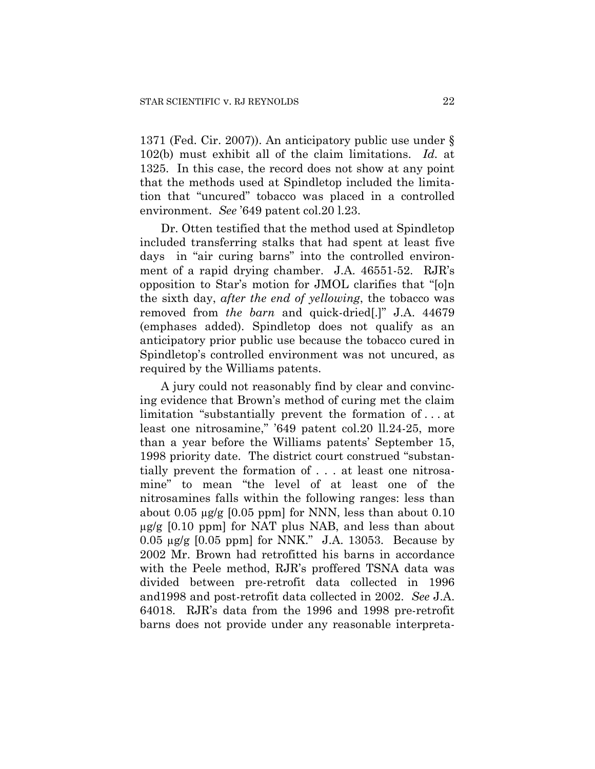1371 (Fed. Cir. 2007)). An anticipatory public use under § 102(b) must exhibit all of the claim limitations. *Id.* at 1325. In this case, the record does not show at any point that the methods used at Spindletop included the limitation that "uncured" tobacco was placed in a controlled environment. *See* '649 patent col.20 l.23.

Dr. Otten testified that the method used at Spindletop included transferring stalks that had spent at least five days in "air curing barns" into the controlled environment of a rapid drying chamber. J.A. 46551-52. RJR's opposition to Star's motion for JMOL clarifies that "[o]n the sixth day, *after the end of yellowing*, the tobacco was removed from *the barn* and quick-dried[.]" J.A. 44679 (emphases added). Spindletop does not qualify as an anticipatory prior public use because the tobacco cured in Spindletop's controlled environment was not uncured, as required by the Williams patents.

A jury could not reasonably find by clear and convincing evidence that Brown's method of curing met the claim limitation "substantially prevent the formation of . . . at least one nitrosamine," '649 patent col.20 ll.24-25, more than a year before the Williams patents' September 15, 1998 priority date. The district court construed "substantially prevent the formation of . . . at least one nitrosamine" to mean "the level of at least one of the nitrosamines falls within the following ranges: less than about  $0.05 \mu$ g/g [0.05 ppm] for NNN, less than about  $0.10$  $\mu$ g/g [0.10 ppm] for NAT plus NAB, and less than about  $0.05 \mu$ g/g  $[0.05 \text{ ppm}]$  for NNK." J.A. 13053. Because by 2002 Mr. Brown had retrofitted his barns in accordance with the Peele method, RJR's proffered TSNA data was divided between pre-retrofit data collected in 1996 and1998 and post-retrofit data collected in 2002. *See* J.A. 64018. RJR's data from the 1996 and 1998 pre-retrofit barns does not provide under any reasonable interpreta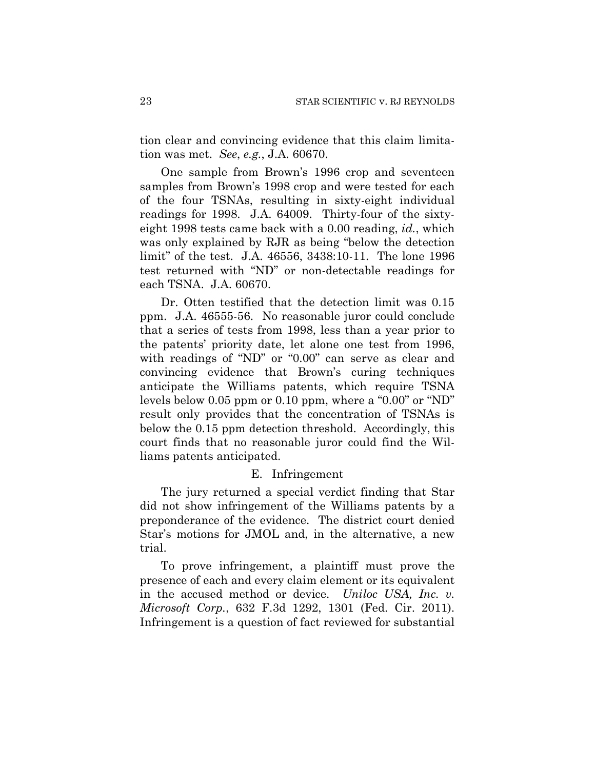tion clear and convincing evidence that this claim limitation was met. *See*, *e.g.*, J.A. 60670.

One sample from Brown's 1996 crop and seventeen samples from Brown's 1998 crop and were tested for each of the four TSNAs, resulting in sixty-eight individual readings for 1998. J.A. 64009. Thirty-four of the sixtyeight 1998 tests came back with a 0.00 reading, *id.*, which was only explained by RJR as being "below the detection limit" of the test. J.A. 46556, 3438:10-11. The lone 1996 test returned with "ND" or non-detectable readings for each TSNA. J.A. 60670.

Dr. Otten testified that the detection limit was 0.15 ppm. J.A. 46555-56. No reasonable juror could conclude that a series of tests from 1998, less than a year prior to the patents' priority date, let alone one test from 1996, with readings of "ND" or "0.00" can serve as clear and convincing evidence that Brown's curing techniques anticipate the Williams patents, which require TSNA levels below 0.05 ppm or 0.10 ppm, where a "0.00" or "ND" result only provides that the concentration of TSNAs is below the 0.15 ppm detection threshold. Accordingly, this court finds that no reasonable juror could find the Williams patents anticipated.

#### E. Infringement

The jury returned a special verdict finding that Star did not show infringement of the Williams patents by a preponderance of the evidence. The district court denied Star's motions for JMOL and, in the alternative, a new trial.

To prove infringement, a plaintiff must prove the presence of each and every claim element or its equivalent in the accused method or device. *Uniloc USA, Inc. v. Microsoft Corp.*, 632 F.3d 1292, 1301 (Fed. Cir. 2011). Infringement is a question of fact reviewed for substantial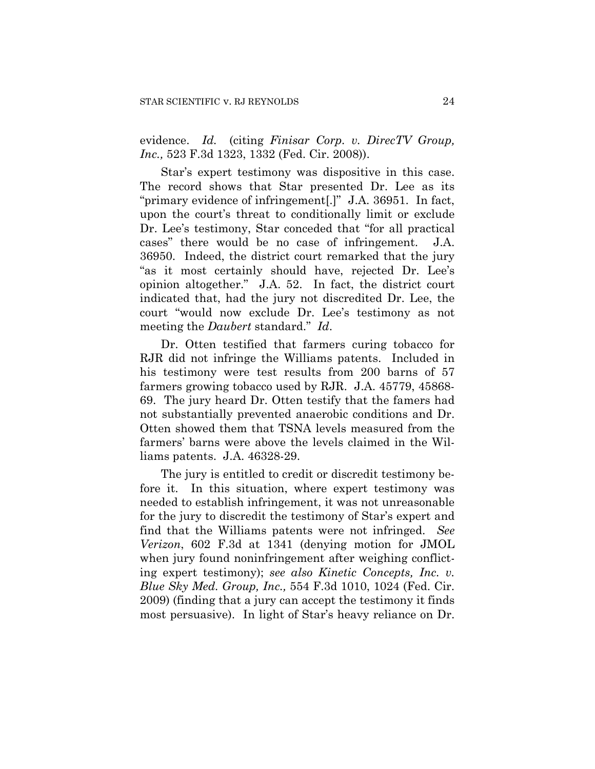evidence. *Id.* (citing *Finisar Corp. v. DirecTV Group, Inc.,* 523 F.3d 1323, 1332 (Fed. Cir. 2008)).

Star's expert testimony was dispositive in this case. The record shows that Star presented Dr. Lee as its "primary evidence of infringement[.]" J.A. 36951. In fact, upon the court's threat to conditionally limit or exclude Dr. Lee's testimony, Star conceded that "for all practical cases" there would be no case of infringement. J.A. 36950. Indeed, the district court remarked that the jury "as it most certainly should have, rejected Dr. Lee's opinion altogether." J.A. 52. In fact, the district court indicated that, had the jury not discredited Dr. Lee, the court "would now exclude Dr. Lee's testimony as not meeting the *Daubert* standard." *Id*.

Dr. Otten testified that farmers curing tobacco for RJR did not infringe the Williams patents. Included in his testimony were test results from 200 barns of 57 farmers growing tobacco used by RJR. J.A. 45779, 45868- 69. The jury heard Dr. Otten testify that the famers had not substantially prevented anaerobic conditions and Dr. Otten showed them that TSNA levels measured from the farmers' barns were above the levels claimed in the Williams patents. J.A. 46328-29.

The jury is entitled to credit or discredit testimony before it. In this situation, where expert testimony was needed to establish infringement, it was not unreasonable for the jury to discredit the testimony of Star's expert and find that the Williams patents were not infringed. *See Verizon*, 602 F.3d at 1341 (denying motion for JMOL when jury found noninfringement after weighing conflicting expert testimony); *see also Kinetic Concepts, Inc. v. Blue Sky Med. Group, Inc.,* 554 F.3d 1010, 1024 (Fed. Cir. 2009) (finding that a jury can accept the testimony it finds most persuasive). In light of Star's heavy reliance on Dr.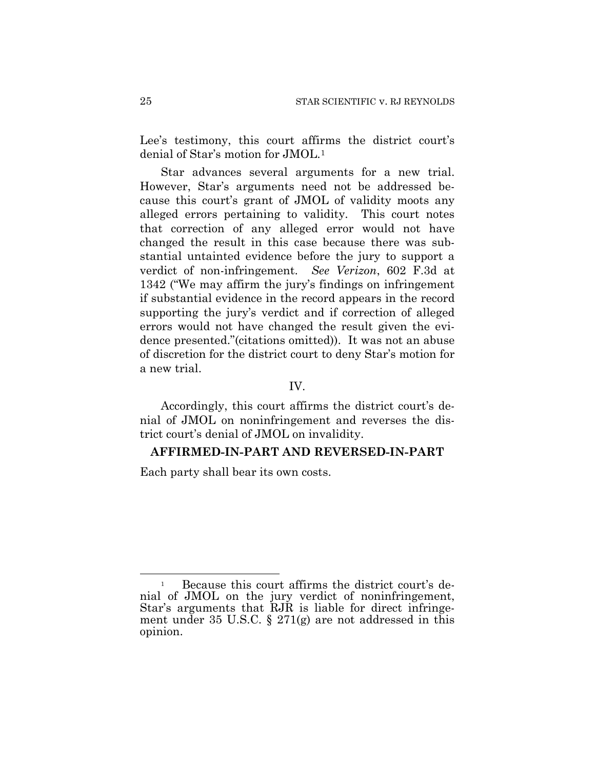Lee's testimony, this court affirms the district court's denial of Star's motion for JMOL.[1](#page-24-0)

Star advances several arguments for a new trial. However, Star's arguments need not be addressed because this court's grant of JMOL of validity moots any alleged errors pertaining to validity. This court notes that correction of any alleged error would not have changed the result in this case because there was substantial untainted evidence before the jury to support a verdict of non-infringement. *See Verizon*, 602 F.3d at 1342 ("We may affirm the jury's findings on infringement if substantial evidence in the record appears in the record supporting the jury's verdict and if correction of alleged errors would not have changed the result given the evidence presented."(citations omitted)). It was not an abuse of discretion for the district court to deny Star's motion for a new trial.

## IV.

Accordingly, this court affirms the district court's denial of JMOL on noninfringement and reverses the district court's denial of JMOL on invalidity.

#### **AFFIRMED-IN-PART AND REVERSED-IN-PART**

Each party shall bear its own costs.

<span id="page-24-0"></span> $\overline{a}$ 1 Because this court affirms the district court's denial of JMOL on the jury verdict of noninfringement, Star's arguments that RJR is liable for direct infringement under 35 U.S.C. § 271(g) are not addressed in this opinion.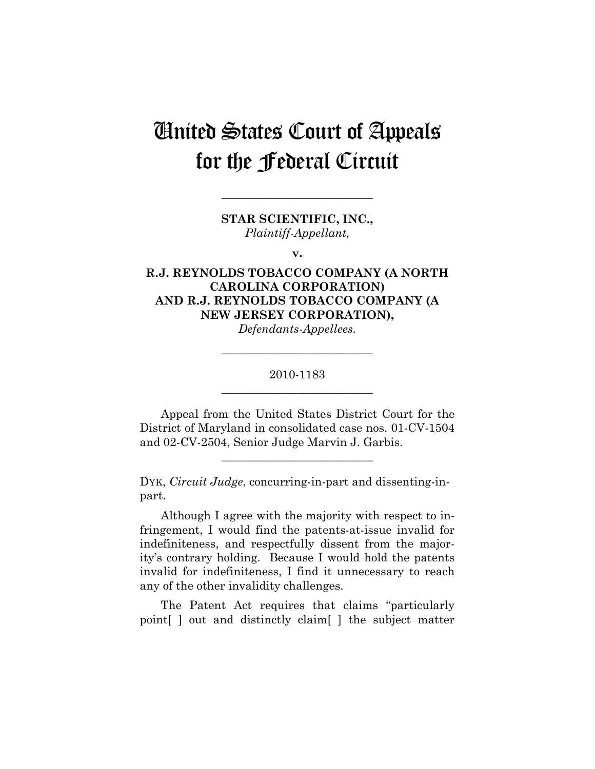# United States Court of Appeals for the Federal Circuit

**STAR SCIENTIFIC, INC.,**  *Plaintiff-Appellant,* 

**\_\_\_\_\_\_\_\_\_\_\_\_\_\_\_\_\_\_\_\_\_\_\_\_\_\_** 

**v.** 

# **R.J. REYNOLDS TOBACCO COMPANY (A NORTH CAROLINA CORPORATION) AND R.J. REYNOLDS TOBACCO COMPANY (A NEW JERSEY CORPORATION),**

*Defendants-Appellees.* 

**\_\_\_\_\_\_\_\_\_\_\_\_\_\_\_\_\_\_\_\_\_\_\_\_\_\_** 

# 2010-1183 **\_\_\_\_\_\_\_\_\_\_\_\_\_\_\_\_\_\_\_\_\_\_\_\_\_\_**

Appeal from the United States District Court for the District of Maryland in consolidated case nos. 01-CV-1504 and 02-CV-2504, Senior Judge Marvin J. Garbis.

**\_\_\_\_\_\_\_\_\_\_\_\_\_\_\_\_\_\_\_\_\_\_\_\_\_\_** 

DYK, *Circuit Judge*, concurring-in-part and dissenting-inpart.

Although I agree with the majority with respect to infringement, I would find the patents-at-issue invalid for indefiniteness, and respectfully dissent from the majority's contrary holding. Because I would hold the patents invalid for indefiniteness, I find it unnecessary to reach any of the other invalidity challenges.

The Patent Act requires that claims "particularly point[ ] out and distinctly claim[ ] the subject matter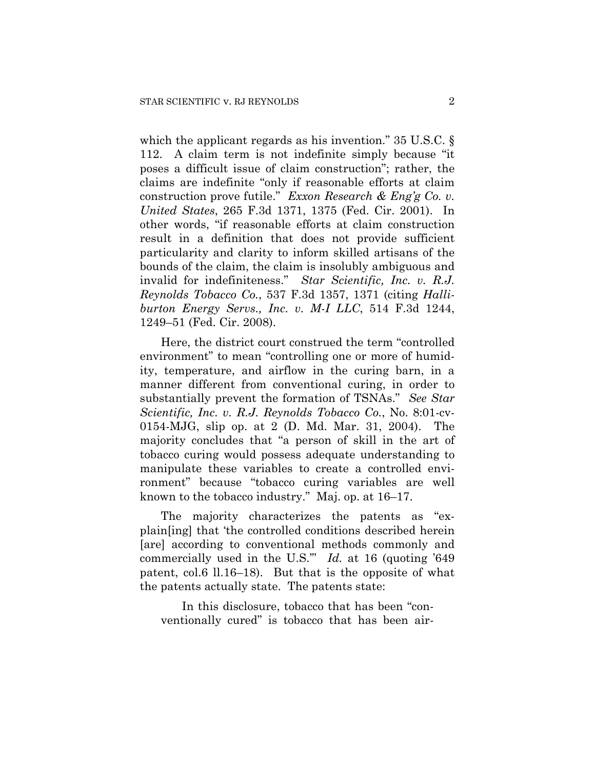which the applicant regards as his invention." 35 U.S.C. § 112. A claim term is not indefinite simply because "it poses a difficult issue of claim construction"; rather, the claims are indefinite "only if reasonable efforts at claim construction prove futile." *Exxon Research & Eng'g Co. v. United States*, 265 F.3d 1371, 1375 (Fed. Cir. 2001). In other words, "if reasonable efforts at claim construction result in a definition that does not provide sufficient particularity and clarity to inform skilled artisans of the bounds of the claim, the claim is insolubly ambiguous and invalid for indefiniteness." *Star Scientific, Inc. v. R.J. Reynolds Tobacco Co.*, 537 F.3d 1357, 1371 (citing *Halliburton Energy Servs., Inc. v. M-I LLC*, 514 F.3d 1244, 1249–51 (Fed. Cir. 2008).

Here, the district court construed the term "controlled environment" to mean "controlling one or more of humidity, temperature, and airflow in the curing barn, in a manner different from conventional curing, in order to substantially prevent the formation of TSNAs." *See Star Scientific, Inc. v. R.J. Reynolds Tobacco Co.*, No. 8:01-cv-0154-MJG, slip op. at 2 (D. Md. Mar. 31, 2004). The majority concludes that "a person of skill in the art of tobacco curing would possess adequate understanding to manipulate these variables to create a controlled environment" because "tobacco curing variables are well known to the tobacco industry." Maj. op. at 16–17.

The majority characterizes the patents as "explain[ing] that 'the controlled conditions described herein [are] according to conventional methods commonly and commercially used in the U.S.'" *Id.* at 16 (quoting '649 patent, col.6 ll.16–18). But that is the opposite of what the patents actually state. The patents state:

 In this disclosure, tobacco that has been "conventionally cured" is tobacco that has been air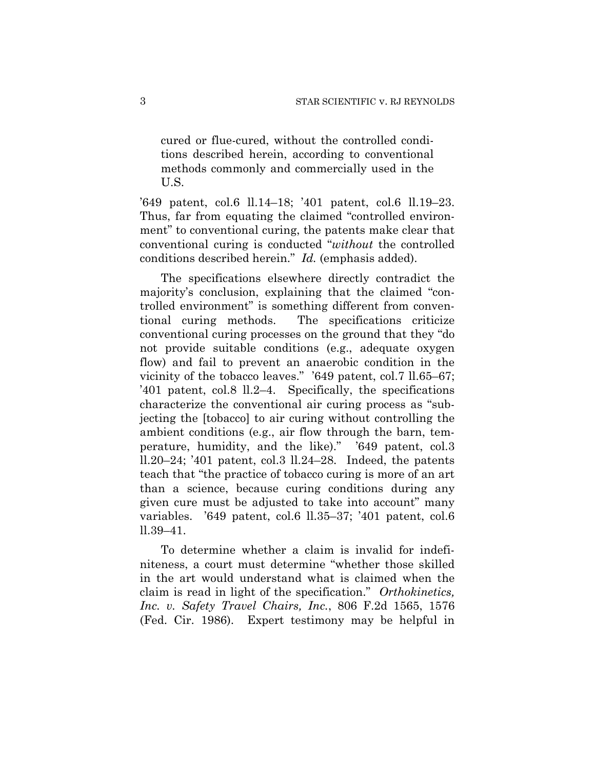cured or flue-cured, without the controlled conditions described herein, according to conventional methods commonly and commercially used in the U.S.

'649 patent, col.6 ll.14–18; '401 patent, col.6 ll.19–23. Thus, far from equating the claimed "controlled environment" to conventional curing, the patents make clear that conventional curing is conducted "*without* the controlled conditions described herein." *Id.* (emphasis added).

The specifications elsewhere directly contradict the majority's conclusion, explaining that the claimed "controlled environment" is something different from conventional curing methods. The specifications criticize conventional curing processes on the ground that they "do not provide suitable conditions (e.g., adequate oxygen flow) and fail to prevent an anaerobic condition in the vicinity of the tobacco leaves." '649 patent, col.7 ll.65–67; '401 patent, col.8 ll.2–4. Specifically, the specifications characterize the conventional air curing process as "subjecting the [tobacco] to air curing without controlling the ambient conditions (e.g., air flow through the barn, temperature, humidity, and the like)." '649 patent, col.3 ll.20–24; '401 patent, col.3 ll.24–28. Indeed, the patents teach that "the practice of tobacco curing is more of an art than a science, because curing conditions during any given cure must be adjusted to take into account" many variables. '649 patent, col.6 ll.35–37; '401 patent, col.6 ll.39–41.

To determine whether a claim is invalid for indefiniteness, a court must determine "whether those skilled in the art would understand what is claimed when the claim is read in light of the specification." *Orthokinetics, Inc. v. Safety Travel Chairs, Inc.*, 806 F.2d 1565, 1576 (Fed. Cir. 1986). Expert testimony may be helpful in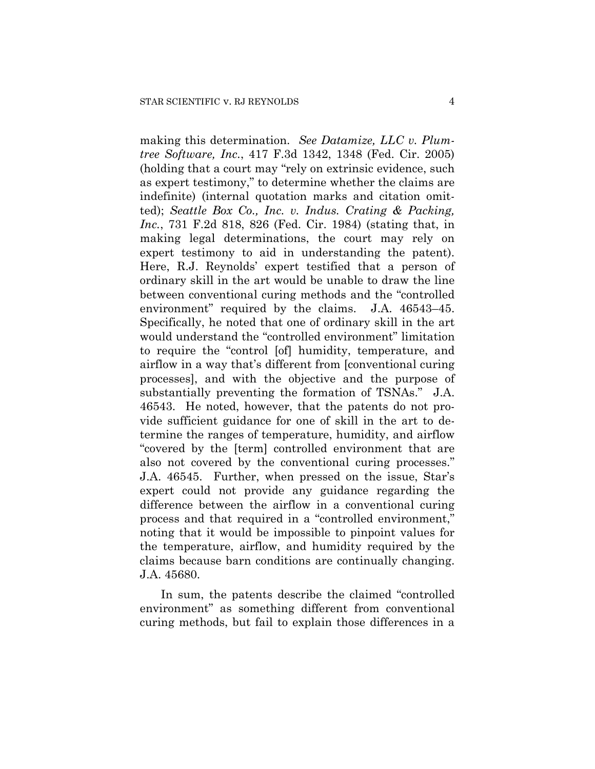making this determination. *See Datamize, LLC v. Plumtree Software, Inc.*, 417 F.3d 1342, 1348 (Fed. Cir. 2005) (holding that a court may "rely on extrinsic evidence, such as expert testimony," to determine whether the claims are indefinite) (internal quotation marks and citation omitted); *Seattle Box Co., Inc. v. Indus. Crating & Packing, Inc.*, 731 F.2d 818, 826 (Fed. Cir. 1984) (stating that, in making legal determinations, the court may rely on expert testimony to aid in understanding the patent). Here, R.J. Reynolds' expert testified that a person of ordinary skill in the art would be unable to draw the line between conventional curing methods and the "controlled environment" required by the claims. J.A. 46543–45. Specifically, he noted that one of ordinary skill in the art would understand the "controlled environment" limitation to require the "control [of] humidity, temperature, and airflow in a way that's different from [conventional curing processes], and with the objective and the purpose of substantially preventing the formation of TSNAs." J.A. 46543. He noted, however, that the patents do not provide sufficient guidance for one of skill in the art to determine the ranges of temperature, humidity, and airflow "covered by the [term] controlled environment that are also not covered by the conventional curing processes." J.A. 46545. Further, when pressed on the issue, Star's expert could not provide any guidance regarding the difference between the airflow in a conventional curing process and that required in a "controlled environment," noting that it would be impossible to pinpoint values for the temperature, airflow, and humidity required by the claims because barn conditions are continually changing. J.A. 45680.

In sum, the patents describe the claimed "controlled environment" as something different from conventional curing methods, but fail to explain those differences in a